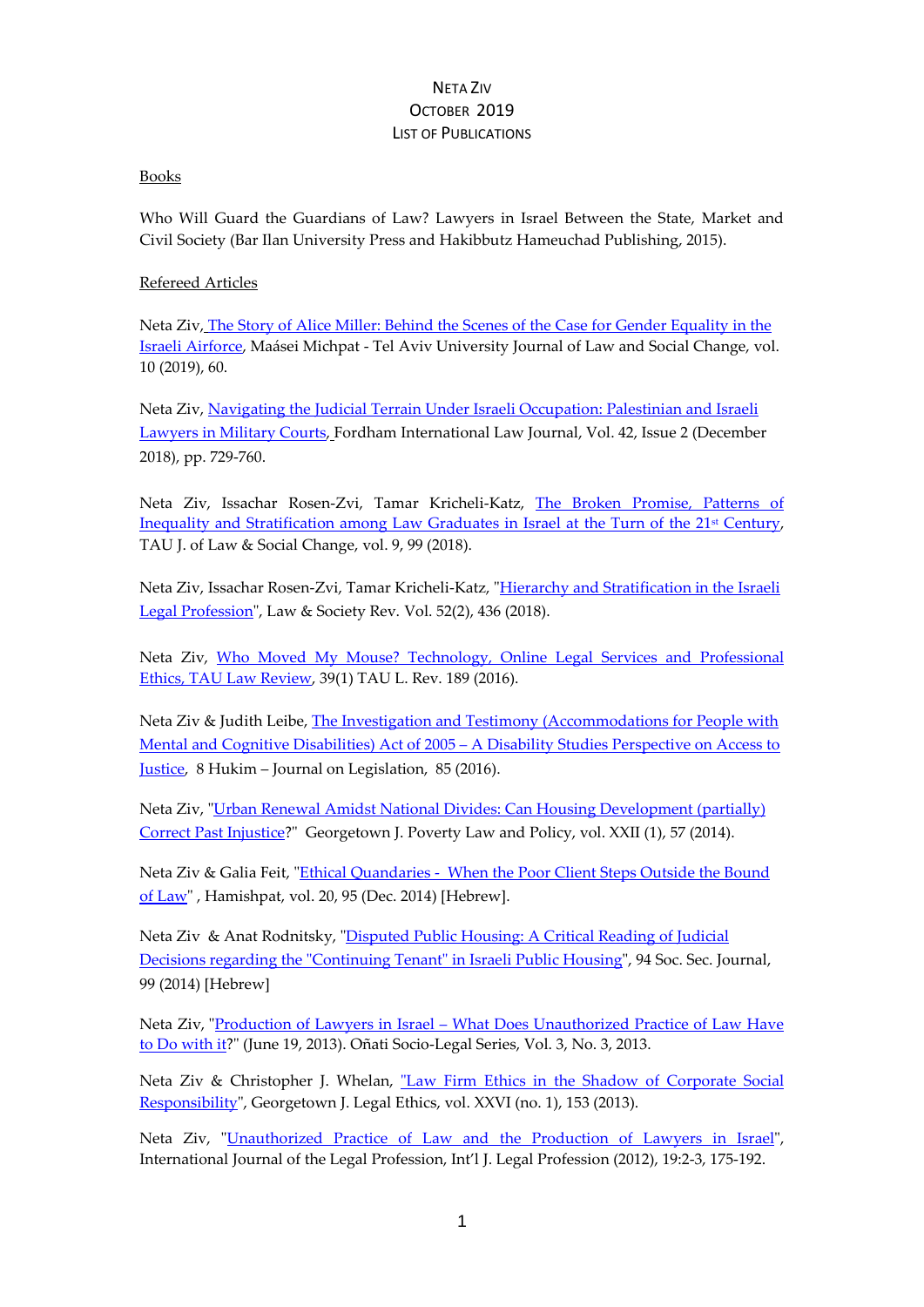#### Books

Who Will Guard the Guardians of Law? Lawyers in Israel Between the State, Market and Civil Society (Bar Ilan University Press and Hakibbutz Hameuchad Publishing, 2015).

### Refereed Articles

Neta Ziv, The Story of Alice Miller: [Behind the Scenes of the Case for Gender Equality in the](https://en-law.tau.ac.il/sites/law-english.tau.ac.il/files/media_server/law_heb/Maasei_Mishpat/Volume_I/%D7%96%D7%99%D7%95%20%D7%A7%D7%A8%D7%99%D7%9B%D7%9C%D7%99%20%D7%A8%D7%95%D7%96%D7%9F%20%D7%A6%D7%91%D7%99.pdf)  [Israeli Airforce,](https://en-law.tau.ac.il/sites/law-english.tau.ac.il/files/media_server/law_heb/Maasei_Mishpat/Volume_I/%D7%96%D7%99%D7%95%20%D7%A7%D7%A8%D7%99%D7%9B%D7%9C%D7%99%20%D7%A8%D7%95%D7%96%D7%9F%20%D7%A6%D7%91%D7%99.pdf) Maásei Michpat - Tel Aviv University Journal of Law and Social Change, vol. 10 (2019), 60.

Neta Ziv, [Navigating the Judicial Terrain Under Israeli Occupation: Palestinian and Israeli](https://heinonline.org/HOL/Page?public=true&handle=hein.journals/frdint42&div=23&start_page=729&collection=journals&set_as_cursor=0&men_tab=srchresults)  [Lawyers in Military Courts,](https://heinonline.org/HOL/Page?public=true&handle=hein.journals/frdint42&div=23&start_page=729&collection=journals&set_as_cursor=0&men_tab=srchresults) Fordham International Law Journal, Vol. 42, Issue 2 (December 2018), pp. 729-760.

Neta Ziv, Issachar Rosen-Zvi, Tamar Kricheli-Katz, [The Broken Promise, Patterns](https://en-law.tau.ac.il/sites/law-english.tau.ac.il/files/media_server/law_heb/Maasei_Mishpat/Volume_I/%D7%96%D7%99%D7%95%20%D7%A7%D7%A8%D7%99%D7%9B%D7%9C%D7%99%20%D7%A8%D7%95%D7%96%D7%9F%20%D7%A6%D7%91%D7%99.pdf) of [Inequality and Stratification among Law Graduates in Israel at the Turn of the 21st](https://en-law.tau.ac.il/sites/law-english.tau.ac.il/files/media_server/law_heb/Maasei_Mishpat/Volume_I/%D7%96%D7%99%D7%95%20%D7%A7%D7%A8%D7%99%D7%9B%D7%9C%D7%99%20%D7%A8%D7%95%D7%96%D7%9F%20%D7%A6%D7%91%D7%99.pdf) Century, TAU J. of Law & Social Change, vol. 9, 99 (2018).

Neta Ziv, Issachar Rosen-Zvi, Tamar Kricheli-Katz, ["Hierarchy and Stratification in the Israeli](https://onlinelibrary.wiley.com/doi/full/10.1111/lasr.12325)  [Legal Profession"](https://onlinelibrary.wiley.com/doi/full/10.1111/lasr.12325), Law & Society Rev. Vol. 52(2), 436 (2018).

Neta Ziv, [Who Moved My Mouse? Technology, Online Legal Services and Professional](https://law.tau.ac.il/sites/law.tau.ac.il/files/media_server/law_heb/Law_Review/Volume39/Issue1/NetaZiv.pdf)  [Ethics, TAU Law Review,](https://law.tau.ac.il/sites/law.tau.ac.il/files/media_server/law_heb/Law_Review/Volume39/Issue1/NetaZiv.pdf) 39(1) TAU L. Rev. 189 (2016).

Neta Ziv & Judith Leibe, The Investigation and Testimony (Accommodations for People with [Mental and Cognitive Disabilities\) Act of 2005 –](https://www.nevo.co.il/books/%D7%9B%D7%AA%D7%91%D7%99%20%D7%A2%D7%AA/%D7%9B%D7%AA%D7%91%D7%99%20%D7%A2%D7%AA/%D7%97%D7%95%D7%A7%D7%99%D7%9D/%D7%92%D7%9C%D7%99%D7%95%D7%9F%20%D7%97/hukim-08-085.pdf) A Disability Studies Perspective on Access to [Justice,](https://www.nevo.co.il/books/%D7%9B%D7%AA%D7%91%D7%99%20%D7%A2%D7%AA/%D7%9B%D7%AA%D7%91%D7%99%20%D7%A2%D7%AA/%D7%97%D7%95%D7%A7%D7%99%D7%9D/%D7%92%D7%9C%D7%99%D7%95%D7%9F%20%D7%97/hukim-08-085.pdf) 8 Hukim – Journal on Legislation, 85 (2016).

Neta Ziv, ["Urban Renewal Amidst National Divides: Can Housing Development \(partially\)](http://papers.ssrn.com/sol3/papers.cfm?abstract_id=2576106)  [Correct Past Injustice?](http://papers.ssrn.com/sol3/papers.cfm?abstract_id=2576106)" Georgetown J. Poverty Law and Policy, vol. XXII (1), 57 (2014).

Neta Ziv & Galia Feit, "Ethical Quandaries - [When the Poor Client Steps Outside the Bound](http://hamishpat.colman.ac.il/files/03_2015/08-ZivFeit.pdf)  [of Law"](http://hamishpat.colman.ac.il/files/03_2015/08-ZivFeit.pdf) , Hamishpat, vol. 20, 95 (Dec. 2014) [Hebrew].

Neta Ziv & Anat Rodnitsky, ["Disputed Public Housing: A Critical Reading of Judicial](https://www.btl.gov.il/Publications/Social_Security/bitachon94/Documents/160-ziv.pdf)  [Decisions regarding the "Continuing Tenant" in Israeli Public Housing"](https://www.btl.gov.il/Publications/Social_Security/bitachon94/Documents/160-ziv.pdf), 94 Soc. Sec. Journal, 99 (2014) [Hebrew]

Neta Ziv, "Production of Lawyers in Israel – [What Does Unauthorized Practice of Law Have](http://opo.iisj.net/index.php/osls/article/viewFile/203/251)  [to Do with it?](http://opo.iisj.net/index.php/osls/article/viewFile/203/251)" (June 19, 2013). Oñati Socio-Legal Series, Vol. 3, No. 3, 2013.

Neta Ziv & Christopher J. Whelan, ["Law Firm Ethics in the Shadow of Corporate Social](http://papers.ssrn.com/sol3/papers.cfm?abstract_id=2164615)  [Responsibility"](http://papers.ssrn.com/sol3/papers.cfm?abstract_id=2164615), Georgetown J. Legal Ethics, vol. XXVI (no. 1), 153 (2013).

Neta Ziv, ["Unauthorized Practice of Law and the Production of Lawyers in Israel"](http://www.tandfonline.com/doi/pdf/10.1080/09695958.2013.781946?needAccess=true), International Journal of the Legal Profession, Int'l J. Legal Profession (2012), 19:2-3, 175-192.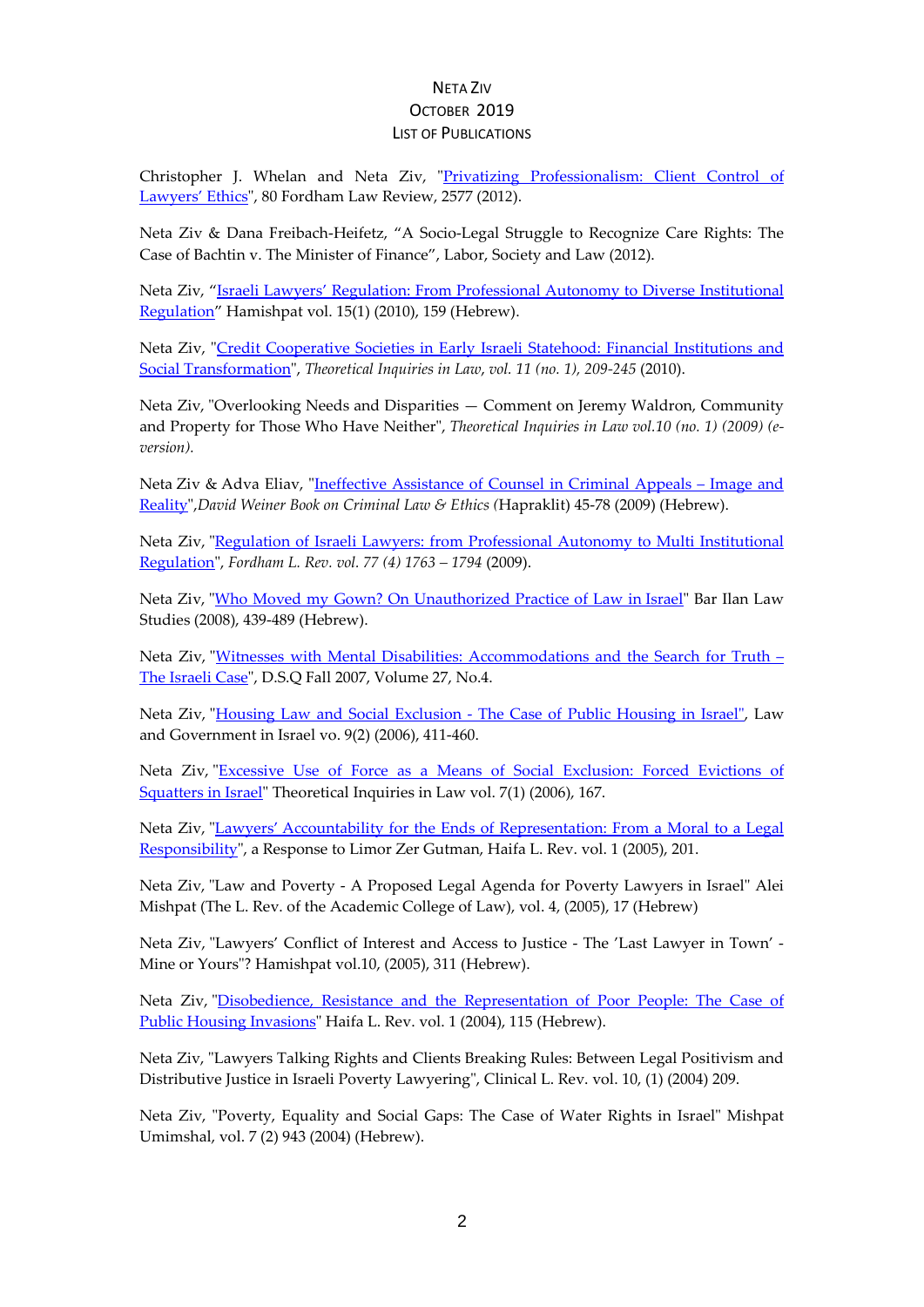# NETA ZIV OCTOBER 2019

### LIST OF PUBLICATIONS

Christopher J. Whelan and Neta Ziv, ["Privatizing Professionalism: Client Control of](http://ir.lawnet.fordham.edu/cgi/viewcontent.cgi?article=4803&context=flr)  [Lawyers'](http://ir.lawnet.fordham.edu/cgi/viewcontent.cgi?article=4803&context=flr) Ethics", 80 Fordham Law Review, 2577 (2012).

Neta Ziv & Dana Freibach-Heifetz, "A Socio-Legal Struggle to Recognize Care Rights: The Case of Bachtin v. The Minister of Finance", Labor, Society and Law (2012).

Neta Ziv, ["Israeli Lawyers' Regulation: From Professional Autonomy to Diverse Institutional](http://hamishpat.colman.ac.il/files/05_2011/06-Neta-Ziv.pdf)  [Regulation"](http://hamishpat.colman.ac.il/files/05_2011/06-Neta-Ziv.pdf) Hamishpat vol. 15(1) (2010), 159 (Hebrew).

Neta Ziv, ["Credit Cooperative Societies in Early Israeli Statehood: Financial Institutions and](http://www7.tau.ac.il/ojs/index.php/til/article/viewFile/738/697)  [Social Transformation"](http://www7.tau.ac.il/ojs/index.php/til/article/viewFile/738/697), *Theoretical Inquiries in Law*, *vol. 11 (no. 1), 209-245* (2010).

Neta Ziv, "Overlooking Needs and Disparities — Comment on Jeremy Waldron, Community and Property for Those Who Have Neither", *Theoretical Inquiries in Law vol.10 (no. 1) (2009) (eversion).*

Neta Ziv & Adva Eliav, ["Ineffective Assistance of Counsel in Criminal Appeals –](http://www.hapraklit.co.il/_Uploads/dbsAttachedFiles/elav_ziv.pdf) Image and [Reality"](http://www.hapraklit.co.il/_Uploads/dbsAttachedFiles/elav_ziv.pdf),*David Weiner Book on Criminal Law & Ethics (*Hapraklit) 45-78 (2009) (Hebrew).

Neta Ziv, ["Regulation of Israeli Lawyers: from Professional Autonomy to Multi Institutional](http://fordhamlawreview.org/assets/pdfs/Vol_77/Ziv_Vol_77_Mar.pdf)  [Regulation"](http://fordhamlawreview.org/assets/pdfs/Vol_77/Ziv_Vol_77_Mar.pdf), *Fordham L. Rev. vol. 77 (4) 1763 – 1794* (2009).

Neta Ziv, ["Who Moved my Gown? On Unauthorized Practice of Law in](https://www.colman.ac.il/sites/college.stage.linnovate.net/files/neta_ziv_mi_heziz_at_hagelima_sheli.pdf) Israel" Bar Ilan Law Studies (2008), 439-489 (Hebrew).

Neta Ziv, ["Witnesses with Mental Disabilities: Accommodations and the Search for Truth –](http://dsq-sds.org/article/view/51/51) [The Israeli Case"](http://dsq-sds.org/article/view/51/51), D.S.Q Fall 2007, Volume 27, No.4.

Neta Ziv, "Housing Law and Social Exclusion - [The Case of Public Housing in Israel",](http://weblaw.haifa.ac.il/he/Journals/lawGov/Volume9B/%D7%9B%D7%A8%D7%9A%20%D7%98(2)%20%D7%A0%D7%98%D7%A2%20%D7%96%D7%99%D7%95%20-%20%D7%91%D7%99%D7%9F%20%D7%A9%D7%9B%D7%99%D7%A8%D7%95%D7%AA%20%D7%9C%D7%91%D7%A2%D7%9C%D7%95%D7%AA%20%D7%97%D7%95%D7%A7%20%D7%94%D7%93%D7%99%D7%95%D7%A8%20%D7%94%D7%A6%D7%99%D7%91%D7%95%D7%A8%D7%99%20%D7%95%D7%94%D7%A2%D7%91%D7%A8%D7%AA%20%D7%94%D7%95%D7%9F%20%D7%91%D7%99%D7%9F-%D7%93%D7%95%D7%A8%D7%99%D7%AA%20%D7%91%D7%A4%D7%A8%D7%A1%D7%A4%D7%A7%D7%98%D7%99%D7%91%D7%94%20%D7%94%D7%99%D7%A1%D7%98%D7%95%D7%A8%D7%99%D7%AA.pdf) Law and Government in Israel vo. 9(2) (2006), 411-460.

Neta Ziv, ["Excessive Use of Force as a Means of Social Exclusion: Forced Evictions of](http://www7.tau.ac.il/ojs/index.php/til/article/view/586/549)  [Squatters in Israel"](http://www7.tau.ac.il/ojs/index.php/til/article/view/586/549) Theoretical Inquiries in Law vol. 7(1) (2006), 167.

Neta Ziv, "Lawyers' [Accountability for the Ends of Representation: From a Moral to a Legal](http://weblaw.haifa.ac.il/he/Journals/din_udvarim/pabN/a1/%D7%A0%D7%98%D7%A2%20%D7%96%D7%99%D7%95%20-%20%D7%90%D7%97%D7%A8%D7%99%D7%95%D7%AA%20%D7%A2%D7%95%D7%A8%D7%9A%20%D7%94%D7%93%D7%99%D7%9F%20%D7%9B%D7%9C%D7%A4%D7%99%20%D7%A0%D7%A4%D7%92%D7%A2%D7%99%20%D7%94%D7%99%D7%99%D7%A6%D7%95%D7%92%20-%20%D7%9E%D7%90%D7%97%D7%A8%D7%99%D7%95%D7%AA%20%D7%9E%D7%95%D7%A1%D7%A8%D7%99%D7%AA%20%D7%9C%D7%90%D7%97%D7%A8%D7%99%D7%95%D7%AA%20%D7%9E%D7%A9.pdf)  [Responsibility"](http://weblaw.haifa.ac.il/he/Journals/din_udvarim/pabN/a1/%D7%A0%D7%98%D7%A2%20%D7%96%D7%99%D7%95%20-%20%D7%90%D7%97%D7%A8%D7%99%D7%95%D7%AA%20%D7%A2%D7%95%D7%A8%D7%9A%20%D7%94%D7%93%D7%99%D7%9F%20%D7%9B%D7%9C%D7%A4%D7%99%20%D7%A0%D7%A4%D7%92%D7%A2%D7%99%20%D7%94%D7%99%D7%99%D7%A6%D7%95%D7%92%20-%20%D7%9E%D7%90%D7%97%D7%A8%D7%99%D7%95%D7%AA%20%D7%9E%D7%95%D7%A1%D7%A8%D7%99%D7%AA%20%D7%9C%D7%90%D7%97%D7%A8%D7%99%D7%95%D7%AA%20%D7%9E%D7%A9.pdf), a Response to Limor Zer Gutman, Haifa L. Rev. vol. 1 (2005), 201.

Neta Ziv, "Law and Poverty - A Proposed Legal Agenda for Poverty Lawyers in Israel" Alei Mishpat (The L. Rev. of the Academic College of Law), vol. 4, (2005), 17 (Hebrew)

Neta Ziv, "Lawyers' Conflict of Interest and Access to Justice - The 'Last Lawyer in Town' - Mine or Yours"? Hamishpat vol.10, (2005), 311 (Hebrew).

Neta Ziv, ["Disobedience, Resistance and the Representation of Poor People: The Case of](http://weblaw.haifa.ac.il/he/Journals/din_udvarim/pabN/a1/%D7%A0%D7%98%D7%A2%20%D7%96%D7%99%D7%95%20-%20%D7%90%D7%99%20%D7%A6%D7%99%D7%95%D7%AA%20-%20%D7%94%D7%AA%D7%A0%D7%92%D7%93%D7%95%D7%AA%20%D7%95%D7%99%D7%99%D7%A6%D7%95%D7%92%20%D7%90%D7%A0%D7%A9%D7%99%D7%9D%20%D7%94%D7%97%D7%99%D7%99%D7%9D%20%D7%91%D7%A2%D7%95%D7%A0%D7%99.pdf)  [Public Housing Invasions"](http://weblaw.haifa.ac.il/he/Journals/din_udvarim/pabN/a1/%D7%A0%D7%98%D7%A2%20%D7%96%D7%99%D7%95%20-%20%D7%90%D7%99%20%D7%A6%D7%99%D7%95%D7%AA%20-%20%D7%94%D7%AA%D7%A0%D7%92%D7%93%D7%95%D7%AA%20%D7%95%D7%99%D7%99%D7%A6%D7%95%D7%92%20%D7%90%D7%A0%D7%A9%D7%99%D7%9D%20%D7%94%D7%97%D7%99%D7%99%D7%9D%20%D7%91%D7%A2%D7%95%D7%A0%D7%99.pdf) Haifa L. Rev. vol. 1 (2004), 115 (Hebrew).

Neta Ziv, "Lawyers Talking Rights and Clients Breaking Rules: Between Legal Positivism and Distributive Justice in Israeli Poverty Lawyering", Clinical L. Rev. vol. 10, (1) (2004) 209.

Neta Ziv, "Poverty, Equality and Social Gaps: The Case of Water Rights in Israel" Mishpat Umimshal, vol. 7 (2) 943 (2004) (Hebrew).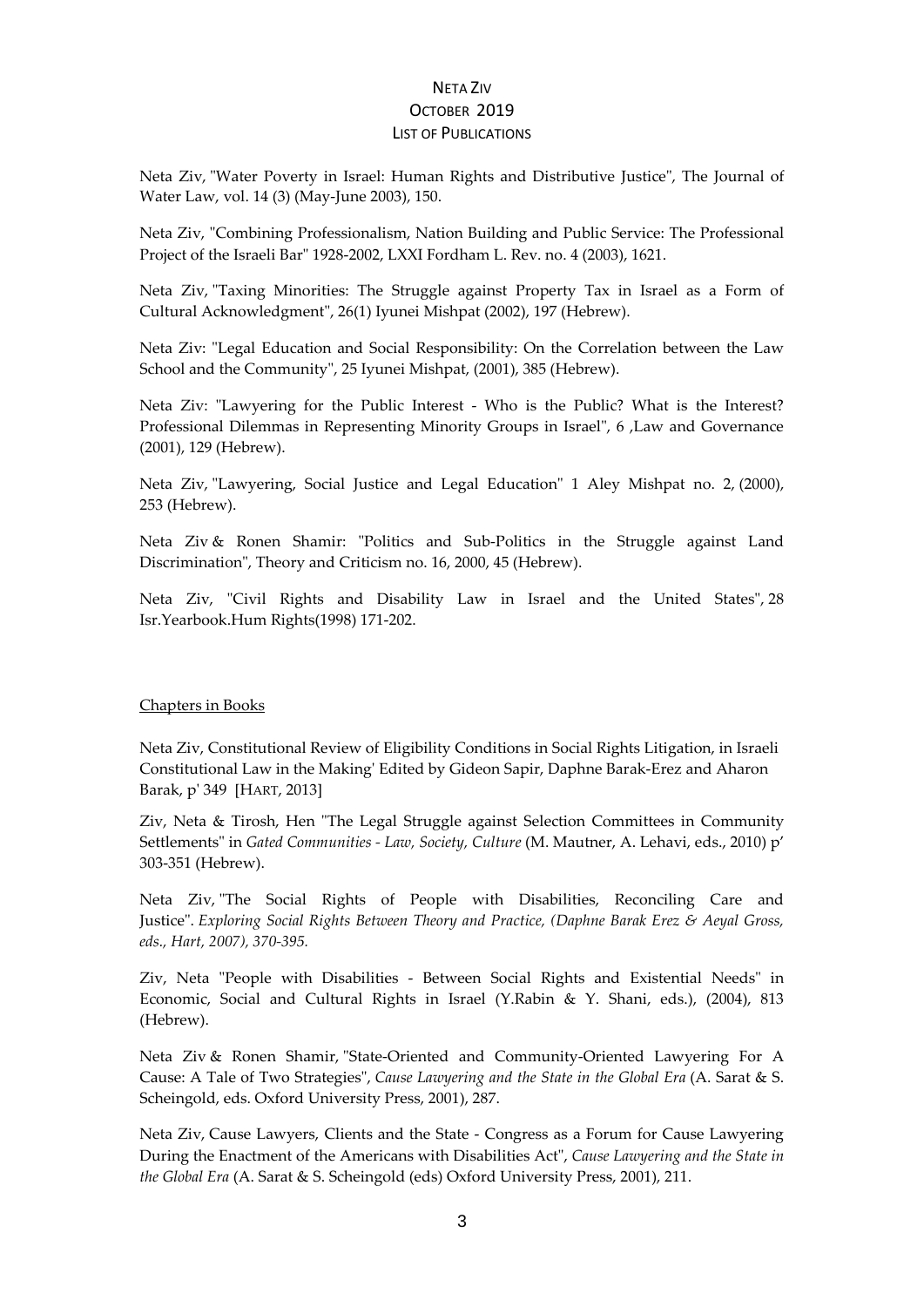Neta Ziv, "Water Poverty in Israel: Human Rights and Distributive Justice", The Journal of Water Law, vol. 14 (3) (May-June 2003), 150.

Neta Ziv, "Combining Professionalism, Nation Building and Public Service: The Professional Project of the Israeli Bar" 1928-2002, LXXI Fordham L. Rev. no. 4 (2003), 1621.

Neta Ziv, "Taxing Minorities: The Struggle against Property Tax in Israel as a Form of Cultural Acknowledgment", 26(1) Iyunei Mishpat (2002), 197 (Hebrew).

Neta Ziv: "Legal Education and Social Responsibility: On the Correlation between the Law School and the Community", 25 Iyunei Mishpat, (2001), 385 (Hebrew).

Neta Ziv: "Lawyering for the Public Interest - Who is the Public? What is the Interest? Professional Dilemmas in Representing Minority Groups in Israel", 6 ,Law and Governance (2001), 129 (Hebrew).

Neta Ziv, "Lawyering, Social Justice and Legal Education" 1 Aley Mishpat no. 2, (2000), 253 (Hebrew).

Neta Ziv & Ronen Shamir: "Politics and Sub-Politics in the Struggle against Land Discrimination", Theory and Criticism no. 16, 2000, 45 (Hebrew).

Neta Ziv, "Civil Rights and Disability Law in Israel and the United States", 28 Isr.Yearbook.Hum Rights(1998) 171-202.

#### Chapters in Books

Neta Ziv, Constitutional Review of Eligibility Conditions in Social Rights Litigation, in Israeli Constitutional Law in the Making' Edited by Gideon Sapir, Daphne Barak-Erez and Aharon Barak, p' 349 [HART, 2013]

Ziv, Neta & Tirosh, Hen "The Legal Struggle against Selection Committees in Community Settlements" in *Gated Communities - Law, Society, Culture* (M. Mautner, A. Lehavi, eds., 2010) p' 303-351 (Hebrew).

Neta Ziv, "The Social Rights of People with Disabilities, Reconciling Care and Justice". *Exploring Social Rights Between Theory and Practice, (Daphne Barak Erez & Aeyal Gross, eds., Hart, 2007), 370-395.*

Ziv, Neta "People with Disabilities - Between Social Rights and Existential Needs" in Economic, Social and Cultural Rights in Israel (Y.Rabin & Y. Shani, eds.), (2004), 813 (Hebrew).

Neta Ziv & Ronen Shamir, "State-Oriented and Community-Oriented Lawyering For A Cause: A Tale of Two Strategies", *Cause Lawyering and the State in the Global Era* (A. Sarat & S. Scheingold, eds. Oxford University Press, 2001), 287.

Neta Ziv, Cause Lawyers, Clients and the State - Congress as a Forum for Cause Lawyering During the Enactment of the Americans with Disabilities Act", *Cause Lawyering and the State in the Global Era* (A. Sarat & S. Scheingold (eds) Oxford University Press, 2001), 211.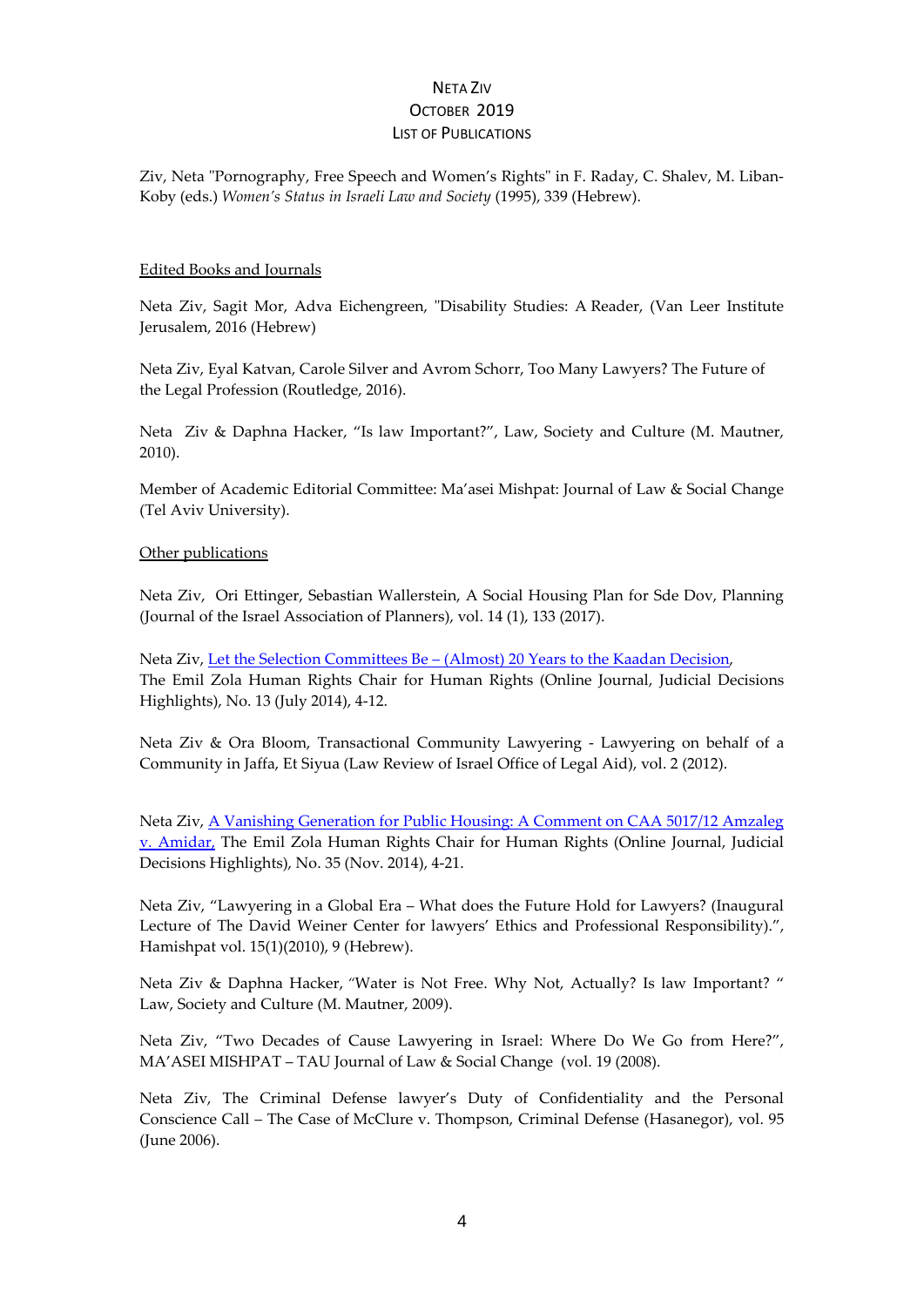Ziv, Neta "Pornography, Free Speech and Women's Rights" in F. Raday, C. Shalev, M. Liban-Koby (eds.) *Women's Status in Israeli Law and Society* (1995), 339 (Hebrew).

### Edited Books and Journals

Neta Ziv, Sagit Mor, Adva Eichengreen, "Disability Studies: A Reader, (Van Leer Institute Jerusalem, 2016 (Hebrew)

Neta Ziv, Eyal Katvan, Carole Silver and Avrom Schorr, Too Many Lawyers? The Future of the Legal Profession (Routledge, 2016).

Neta Ziv & Daphna Hacker, "Is law Important?", Law, Society and Culture (M. Mautner, 2010).

Member of Academic Editorial Committee: Ma'asei Mishpat: Journal of Law & Social Change (Tel Aviv University).

#### Other publications

Neta Ziv, Ori Ettinger, Sebastian Wallerstein, A Social Housing Plan for Sde Dov, Planning (Journal of the Israel Association of Planners), vol. 14 (1), 133 (2017).

Neta Ziv, Let the Selection Committees Be – (Almost) 20 Years to the Kaadan Decision, The Emil Zola Human Rights Chair for Human Rights (Online Journal, Judicial Decisions Highlights), No. 13 (July 2014), 4-12.

Neta Ziv & Ora Bloom, Transactional Community Lawyering - Lawyering on behalf of a Community in Jaffa, Et Siyua (Law Review of Israel Office of Legal Aid), vol. 2 (2012).

Neta Ziv, [A Vanishing Generation for Public Housing: A Comment on CAA 5017/12 Amzaleg](https://www.colman.ac.il/sites/college.stage.linnovate.net/files/13_july_2013_3_ziv.pdf)  [v. Amidar,](https://www.colman.ac.il/sites/college.stage.linnovate.net/files/13_july_2013_3_ziv.pdf) The Emil Zola Human Rights Chair for Human Rights (Online Journal, Judicial Decisions Highlights), No. 35 (Nov. 2014), 4-21.

Neta Ziv, "Lawyering in a Global Era – What does the Future Hold for Lawyers? (Inaugural Lecture of The David Weiner Center for lawyers' Ethics and Professional Responsibility).", Hamishpat vol. 15(1)(2010), 9 (Hebrew).

Neta Ziv & Daphna Hacker, *"*Water is Not Free. Why Not, Actually? Is law Important? " Law, Society and Culture (M. Mautner, 2009).

Neta Ziv, "Two Decades of Cause Lawyering in Israel: Where Do We Go from Here?", MA'ASEI MISHPAT – TAU Journal of Law & Social Change (vol. 19 (2008).

Neta Ziv, The Criminal Defense lawyer's Duty of Confidentiality and the Personal Conscience Call – The Case of McClure v. Thompson, Criminal Defense (Hasanegor), vol. 95 (June 2006).